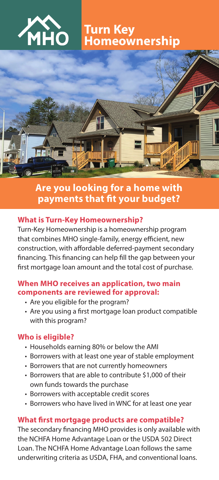

 **Turn Key Homeownership**



# **Are you looking for a home with payments that fit your budget?**

#### **What is Turn-Key Homeownership?**

Turn-Key Homeownership is a homeownership program that combines MHO single-family, energy efficient, new construction, with affordable deferred-payment secondary financing. This financing can help fill the gap between your first mortgage loan amount and the total cost of purchase.

#### **When MHO receives an application, two main components are reviewed for approval:**

- Are you eligible for the program?
- Are you using a first mortgage loan product compatible with this program?

# **Who is eligible?**

- Households earning 80% or below the AMI
- Borrowers with at least one year of stable employment
- Borrowers that are not currently homeowners
- Borrowers that are able to contribute \$1,000 of their own funds towards the purchase
- Borrowers with acceptable credit scores
- Borrowers who have lived in WNC for at least one year

# **What first mortgage products are compatible?**

The secondary financing MHO provides is only available with the NCHFA Home Advantage Loan or the USDA 502 Direct Loan. The NCHFA Home Advantage Loan follows the same underwriting criteria as USDA, FHA, and conventional loans.